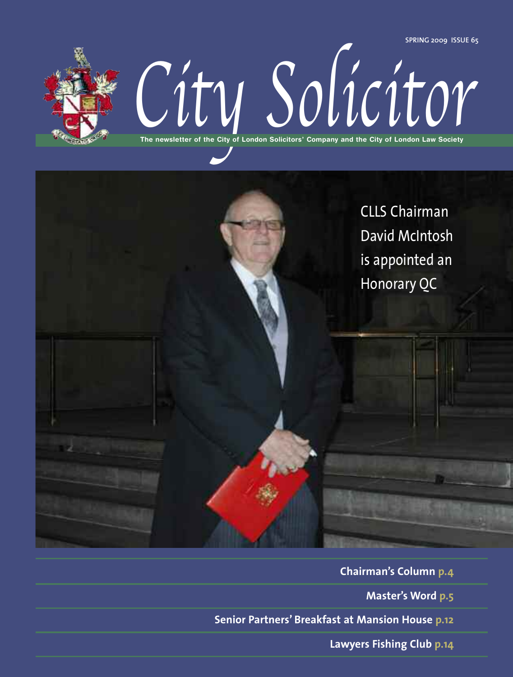**SPRING 2009 ISSUE 65**



The newsletter of the City of London Solicitors' Company and the City of London Law Society **The newsletter of the City of London Solicitors' Company and the City of London Law Society**



**Chairman's Column p.4 Master's Word p.5 Senior Partners' Breakfast at Mansion House p.12**

**Lawyers Fishing Club p.14**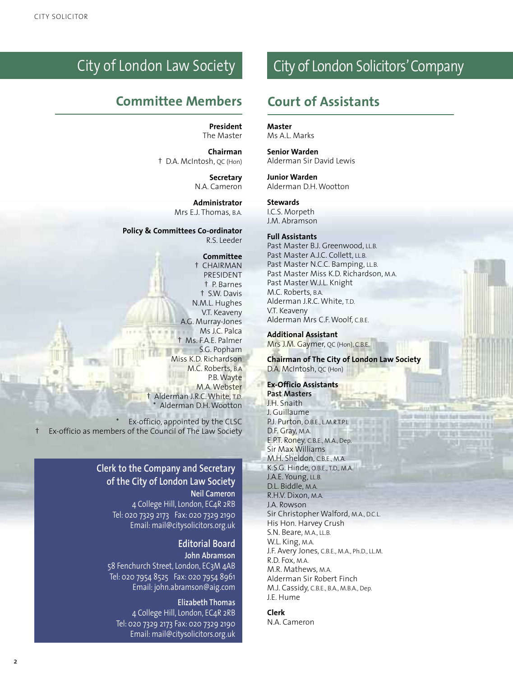### City of London Law Society

### **Committee Members Court of Assistants**

**President** The Master

**Chairman** † D.A. McIntosh, QC (Hon)

> **Secretary** N.A. Cameron

**Administrator** Mrs E.J. Thomas, B.A.

**Policy & Committees Co-ordinator** R.S. Leeder

#### **Committee**

† CHAIRMAN PRESIDENT † P. Barnes † S.W. Davis N.M.L. Hughes V.T. Keaveny A.G. Murray-Jones Ms J.C. Palca † Ms. F.A.E. Palmer S.G. Popham Miss K.D. Richardson M.C. Roberts, B.A P.B.Wayte M.A.Webster † Alderman J.R.C.White, T.D. Alderman D.H. Wootton

Ex-officio, appointed by the CLSC † Ex-officio as members of the Council of The Law Society

### **Clerk to the Company and Secretary of the City of London Law Society**

**Neil Cameron** 4 College Hill, London, EC4R 2RB Tel: 020 7329 2173 Fax: 020 7329 2190 Email: mail@citysolicitors.org.uk

#### **Editorial Board John Abramson**

58 Fenchurch Street, London, EC3M 4AB Tel: 020 7954 8525 Fax: 020 7954 8961 Email: john.abramson@aig.com

### **Elizabeth Thomas**

4 College Hill, London, EC4R 2RB Tel: 020 7329 2173 Fax: 020 7329 2190 Email: mail@citysolicitors.org.uk

### City of London Solicitors'Company

#### **Master**

Ms A.L. Marks

**Senior Warden** Alderman Sir David Lewis

**Junior Warden** Alderman D.H.Wootton

#### **Stewards**

I.C.S. Morpeth J.M. Abramson

#### **Full Assistants**

Past Master B.J. Greenwood, LL.B. Past Master A.J.C. Collett, LL.B. Past Master N.C.C. Bamping, LL.B. Past Master Miss K.D. Richardson, M.A. Past Master W.J.L. Knight M.C. Roberts, B.A. Alderman J.R.C.White, T.D. V.T. Keaveny Alderman Mrs C.F.Woolf, C.B.E.

**Additional Assistant** Mrs J.M. Gaymer, QC (Hon), C.B.E.

**Chairman of The City of London Law Society** D.A. McIntosh, QC (Hon)

Entired 1 Keith Healt Kund to

**DO DEL TO** 

#### **Ex-Officio Assistants**

**Past Masters** J.H. Snaith J. Guillaume P.J. Purton, O.B.E., L.M.R.T.P.I. D.F. Gray, M.A. E.P.T. Roney, C.B.E., M.A., Dep. Sir Max Williams M.H. Sheldon, C.B.E., M.A. K.S.G. Hinde, O.B.E., T.D., M.A. J.A.E. Young, LL.B. D.L. Biddle, M.A. R.H.V. Dixon, M.A. J.A. Rowson Sir Christopher Walford, M.A., D.C.L. His Hon. Harvey Crush S.N. Beare, M.A., LL.B. W.L. King, M.A. J.F. Avery Jones, C.B.E., M.A., Ph.D., LL.M. R.D. Fox, M.A. M.R. Mathews, M.A. Alderman Sir Robert Finch M.J. Cassidy, C.B.E., B.A., M.B.A., Dep. J.E. Hume

#### **Clerk**

N.A. Cameron

 $\overline{2}$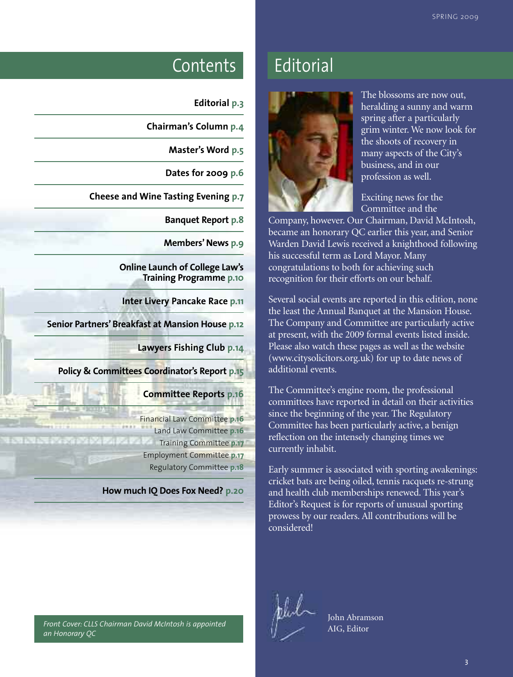### Contents Editorial

| <b>Editorial p.3</b> |
|----------------------|
|----------------------|

**Chairman's Column p.4**

**Master's Word p.5**

**Dates for 2009 p.6**

**Cheese and Wine Tasting Evening p.7**

**Banquet Report p.8**

**Members' News** p.9

**Online Launch of College Law's Training Programme p.10**

**Inter Livery Pancake Race p.11**

**Senior Partners'Breakfast at Mansion House p.12**

**Lawyers Fishing Club p.14**

**Policy & Committees Coordinator's Report p.15**

**Committee Reports p.16**

Financial Law Committee **p.16** Land Law Committee **p.16** Training Committee **p.17** Employment Committee **p.17** Regulatory Committee **p.18**

**How much IQ Does Fox Need? p.20**

#### *Front Cover: CLLS Chairman David McIntosh is appointed an Honorary QC*



The blossoms are now out, heralding a sunny and warm spring after a particularly grim winter. We now look for the shoots of recovery in many aspects of the City's business, and in our profession as well.

Exciting news for the Committee and the

Company, however. Our Chairman, David McIntosh, became an honorary QC earlier this year, and Senior Warden David Lewis received a knighthood following his successful term as Lord Mayor. Many congratulations to both for achieving such recognition for their efforts on our behalf.

Several social events are reported in this edition, none the least the Annual Banquet at the Mansion House. The Company and Committee are particularly active at present, with the 2009 formal events listed inside. Please also watch these pages as well as the website (www.citysolicitors.org.uk) for up to date news of additional events.

The Committee's engine room, the professional committees have reported in detail on their activities since the beginning of the year. The Regulatory Committee has been particularly active, a benign reflection on the intensely changing times we currently inhabit.

Early summer is associated with sporting awakenings: cricket bats are being oiled, tennis racquets re-strung and health club memberships renewed. This year's Editor's Request is for reports of unusual sporting prowess by our readers. All contributions will be considered!



John Abramson AIG, Editor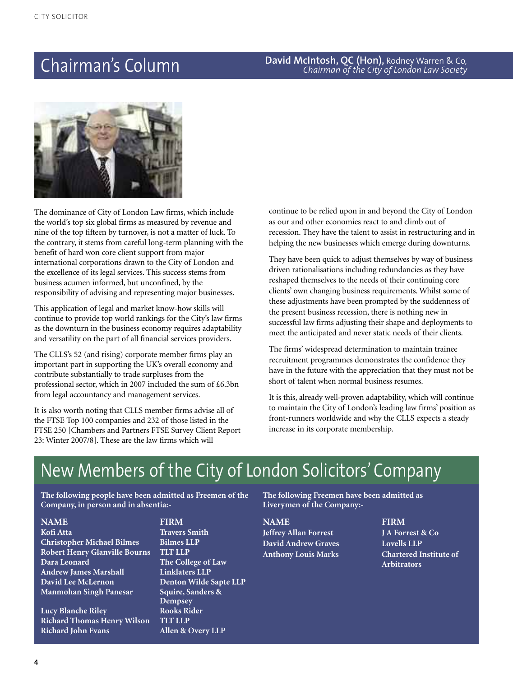### **David McIntosh, QC (Hon),** Rodney Warren & Co*,* Chairman's Column *Chairman of the City of London Law Society*



The dominance of City of London Law firms, which include the world's top six global firms as measured by revenue and nine of the top fifteen by turnover, is not a matter of luck. To the contrary, it stems from careful long-term planning with the benefit of hard won core client support from major international corporations drawn to the City of London and the excellence of its legal services. This success stems from business acumen informed, but unconfined, by the responsibility of advising and representing major businesses.

This application of legal and market know-how skills will continue to provide top world rankings for the City's law firms as the downturn in the business economy requires adaptability and versatility on the part of all financial services providers.

The CLLS's 52 (and rising) corporate member firms play an important part in supporting the UK's overall economy and contribute substantially to trade surpluses from the professional sector, which in 2007 included the sum of £6.3bn from legal accountancy and management services.

It is also worth noting that CLLS member firms advise all of the FTSE Top 100 companies and 232 of those listed in the FTSE 250 [Chambers and Partners FTSE Survey Client Report 23: Winter 2007/8]. These are the law firms which will

continue to be relied upon in and beyond the City of London as our and other economies react to and climb out of recession. They have the talent to assist in restructuring and in helping the new businesses which emerge during downturns.

They have been quick to adjust themselves by way of business driven rationalisations including redundancies as they have reshaped themselves to the needs of their continuing core clients' own changing business requirements. Whilst some of these adjustments have been prompted by the suddenness of the present business recession, there is nothing new in successful law firms adjusting their shape and deployments to meet the anticipated and never static needs of their clients.

The firms' widespread determination to maintain trainee recruitment programmes demonstrates the confidence they have in the future with the appreciation that they must not be short of talent when normal business resumes.

It is this, already well-proven adaptability, which will continue to maintain the City of London's leading law firms' position as front-runners worldwide and why the CLLS expects a steady increase in its corporate membership.

### New Members of the City of London Solicitors' Company

**The following people have been admitted as Freemen of the Company, in person and in absentia:-**

**NAME FIRM**

**Christopher Michael Bilmes Bilmes LLP Robert Henry Glanville Bourns Dara Leonard The College of Law Andrew James Marshall Linklaters LLP Manmohan Singh Panesar Squire, Sanders &**

**Lucy Blanche Riley Rooks Rider Richard Thomas Henry Wilson TLT LLP Richard John Evans Allen & Overy LLP**

**Kofi Atta Travers Smith David Lee McLernon Denton Wilde Sapte LLP Dempsey**

**The following Freemen have been admitted as Liverymen of the Company:-**

**NAME FIRM Jeffrey Allan Forrest J A Forrest & Co David Andrew Graves Lovells LLP**

**Anthony Louis Marks Chartered Institute of Arbitrators**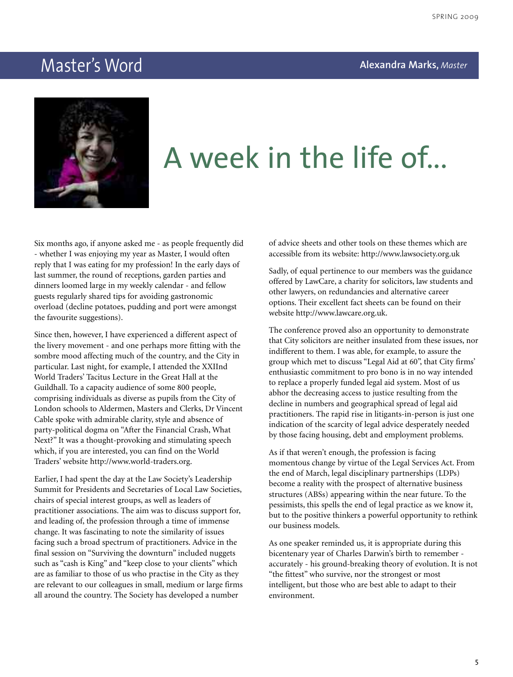### **Master's Word Master's Word Alexandra Marks**, *Master* ster



## A week in the life of...

Six months ago, if anyone asked me - as people frequently did - whether I was enjoying my year as Master, I would often reply that I was eating for my profession! In the early days of last summer, the round of receptions, garden parties and dinners loomed large in my weekly calendar - and fellow guests regularly shared tips for avoiding gastronomic overload (decline potatoes, pudding and port were amongst the favourite suggestions).

Since then, however, I have experienced a different aspect of the livery movement - and one perhaps more fitting with the sombre mood affecting much of the country, and the City in particular. Last night, for example, I attended the XXIInd World Traders' Tacitus Lecture in the Great Hall at the Guildhall. To a capacity audience of some 800 people, comprising individuals as diverse as pupils from the City of London schools to Aldermen, Masters and Clerks, Dr Vincent Cable spoke with admirable clarity, style and absence of party-political dogma on "After the Financial Crash, What Next?" It was a thought-provoking and stimulating speech which, if you are interested, you can find on the World Traders' website http://www.world-traders.org.

Earlier, I had spent the day at the Law Society's Leadership Summit for Presidents and Secretaries of Local Law Societies, chairs of special interest groups, as well as leaders of practitioner associations. The aim was to discuss support for, and leading of, the profession through a time of immense change. It was fascinating to note the similarity of issues facing such a broad spectrum of practitioners. Advice in the final session on "Surviving the downturn" included nuggets such as "cash is King" and "keep close to your clients" which are as familiar to those of us who practise in the City as they are relevant to our colleagues in small, medium or large firms all around the country. The Society has developed a number

of advice sheets and other tools on these themes which are accessible from its website: http://www.lawsociety.org.uk

Sadly, of equal pertinence to our members was the guidance offered by LawCare, a charity for solicitors, law students and other lawyers, on redundancies and alternative career options. Their excellent fact sheets can be found on their website http://www.lawcare.org.uk.

The conference proved also an opportunity to demonstrate that City solicitors are neither insulated from these issues, nor indifferent to them. I was able, for example, to assure the group which met to discuss "Legal Aid at 60", that City firms' enthusiastic commitment to pro bono is in no way intended to replace a properly funded legal aid system. Most of us abhor the decreasing access to justice resulting from the decline in numbers and geographical spread of legal aid practitioners. The rapid rise in litigants-in-person is just one indication of the scarcity of legal advice desperately needed by those facing housing, debt and employment problems.

As if that weren't enough, the profession is facing momentous change by virtue of the Legal Services Act. From the end of March, legal disciplinary partnerships (LDPs) become a reality with the prospect of alternative business structures (ABSs) appearing within the near future. To the pessimists, this spells the end of legal practice as we know it, but to the positive thinkers a powerful opportunity to rethink our business models.

As one speaker reminded us, it is appropriate during this bicentenary year of Charles Darwin's birth to remember accurately - his ground-breaking theory of evolution. It is not "the fittest" who survive, nor the strongest or most intelligent, but those who are best able to adapt to their environment.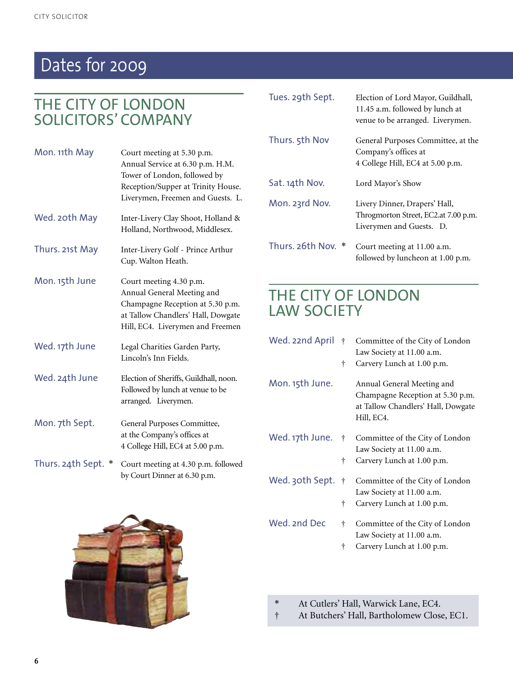## Dates for 2009

### THE CITY OF LONDON SOLICITORS' COMPANY

| Mon. 11th May     | Court meeting at 5.30 p.m.<br>Annual Service at 6.30 p.m. H.M.<br>Tower of London, followed by<br>Reception/Supper at Trinity House.<br>Liverymen, Freemen and Guests. L. |
|-------------------|---------------------------------------------------------------------------------------------------------------------------------------------------------------------------|
| Wed. 20th May     | Inter-Livery Clay Shoot, Holland &<br>Holland, Northwood, Middlesex.                                                                                                      |
| Thurs. 21st May   | Inter-Livery Golf - Prince Arthur<br>Cup. Walton Heath.                                                                                                                   |
| Mon. 15th June    | Court meeting 4.30 p.m.<br>Annual General Meeting and<br>Champagne Reception at 5.30 p.m.<br>at Tallow Chandlers' Hall, Dowgate<br>Hill, EC4. Liverymen and Freemen       |
| Wed. 17th June    | Legal Charities Garden Party,<br>Lincoln's Inn Fields.                                                                                                                    |
| Wed. 24th June    | Election of Sheriffs, Guildhall, noon.<br>Followed by lunch at venue to be<br>arranged. Liverymen.                                                                        |
| Mon. 7th Sept.    | General Purposes Committee,<br>at the Company's offices at<br>4 College Hill, EC4 at 5.00 p.m.                                                                            |
| Thurs. 24th Sept. | Court meeting at 4.30 p.m. followed<br>by Court Dinner at 6.30 p.m.                                                                                                       |

| Tues. 29th Sept. | Election of Lord Mayor, Guildhall,<br>11.45 a.m. followed by lunch at<br>venue to be arranged. Liverymen. |
|------------------|-----------------------------------------------------------------------------------------------------------|
| Thurs. 5th Nov   | General Purposes Committee, at the<br>Company's offices at<br>4 College Hill, EC4 at 5.00 p.m.            |
| Sat. 14th Nov.   | Lord Mayor's Show                                                                                         |
| Mon. 23rd Nov.   | Livery Dinner, Drapers' Hall,<br>Throgmorton Street, EC2.at 7.00 p.m.<br>Liverymen and Guests. D.         |
| Thurs. 26th Nov. | Court meeting at 11.00 a.m.<br>followed by luncheon at 1.00 p.m.                                          |

### THE CITY OF LONDON LAW SOCIETY

| Wed. 22nd April   | $\dagger$<br>ŧ | Committee of the City of London<br>Law Society at 11.00 a.m.<br>Carvery Lunch at 1.00 p.m.                         |
|-------------------|----------------|--------------------------------------------------------------------------------------------------------------------|
| Mon. 15th June.   |                | Annual General Meeting and<br>Champagne Reception at 5.30 p.m.<br>at Tallow Chandlers' Hall, Dowgate<br>Hill, EC4. |
| Wed. 17th June.   | $^{+}$<br>Ť    | Committee of the City of London<br>Law Society at 11.00 a.m.<br>Carvery Lunch at 1.00 p.m.                         |
| Wed. 30th Sept. † | ŧ              | Committee of the City of London<br>Law Society at 11.00 a.m.<br>Carvery Lunch at 1.00 p.m.                         |
| Wed. 2nd Dec      | t              | Committee of the City of London<br>Law Society at 11.00 a.m.                                                       |

- † Carvery Lunch at 1.00 p.m.
- \* At Cutlers' Hall, Warwick Lane, EC4.
- † At Butchers' Hall, Bartholomew Close, EC1.

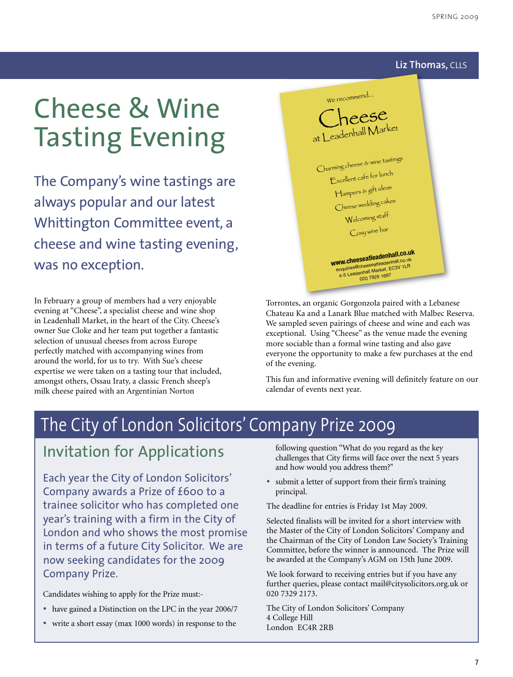#### **Liz Thomas,** CLLS

## Cheese & Wine Tasting Evening

The Company's wine tastings are always popular and our latest Whittington Committee event, a cheese and wine tasting evening, was no exception.

In February a group of members had a very enjoyable evening at "Cheese", a specialist cheese and wine shop in Leadenhall Market, in the heart of the City. Cheese's owner Sue Cloke and her team put together a fantastic selection of unusual cheeses from across Europe perfectly matched with accompanying wines from around the world, for us to try. With Sue's cheese expertise we were taken on a tasting tour that included, amongst others, Ossau Iraty, a classic French sheep's milk cheese paired with an Argentinian Norton



Torrontes, an organic Gorgonzola paired with a Lebanese Chateau Ka and a Lanark Blue matched with Malbec Reserva. We sampled seven pairings of cheese and wine and each was exceptional. Using "Cheese" as the venue made the evening more sociable than a formal wine tasting and also gave everyone the opportunity to make a few purchases at the end of the evening.

This fun and informative evening will definitely feature on our calendar of events next year.

### The City of London Solicitors' Company Prize 2009

### Invitation for Applications

Each year the City of London Solicitors' Company awards a Prize of £600 to a trainee solicitor who has completed one year's training with a firm in the City of London and who shows the most promise in terms of a future City Solicitor. We are now seeking candidates for the 2009 Company Prize.

Candidates wishing to apply for the Prize must:-

- have gained <sup>a</sup> Distinction on the LPC in the year 2006/7
- write a short essay (max 1000 words) in response to the

following question "What do you regard as the key challenges that City firms will face over the next 5 years and how would you address them?"

• submit <sup>a</sup> letter of support from their firm's training principal.

The deadline for entries is Friday 1st May 2009.

Selected finalists will be invited for a short interview with the Master of the City of London Solicitors' Company and the Chairman of the City of London Law Society's Training Committee, before the winner is announced. The Prize will be awarded at the Company's AGM on 15th June 2009.

We look forward to receiving entries but if you have any further queries, please contact mail@citysolicitors.org.uk or 020 7329 2173.

The City of London Solicitors' Company 4 College Hill London EC4R 2RB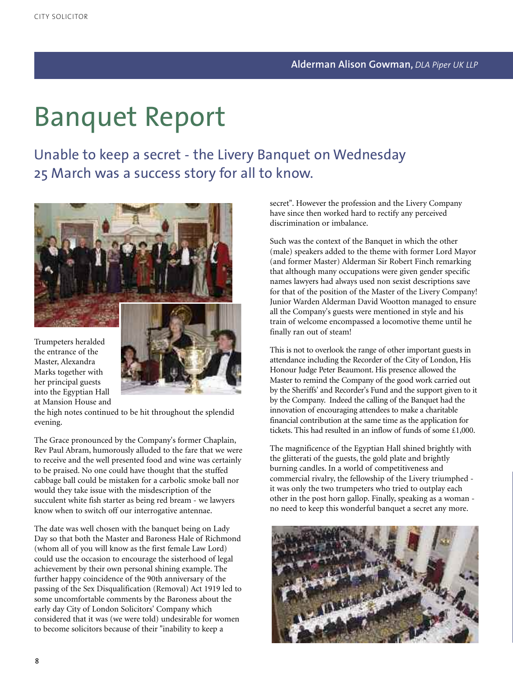## Banquet Report

Unable to keep a secret - the Livery Banquet on Wednesday 25 March was a success story for all to know.



Trumpeters heralded the entrance of the Master, Alexandra Marks together with her principal guests into the Egyptian Hall at Mansion House and



the high notes continued to be hit throughout the splendid evening.

The Grace pronounced by the Company's former Chaplain, Rev Paul Abram, humorously alluded to the fare that we were to receive and the well presented food and wine was certainly to be praised. No one could have thought that the stuffed cabbage ball could be mistaken for a carbolic smoke ball nor would they take issue with the misdescription of the succulent white fish starter as being red bream - we lawyers know when to switch off our interrogative antennae.

The date was well chosen with the banquet being on Lady Day so that both the Master and Baroness Hale of Richmond (whom all of you will know as the first female Law Lord) could use the occasion to encourage the sisterhood of legal achievement by their own personal shining example. The further happy coincidence of the 90th anniversary of the passing of the Sex Disqualification (Removal) Act 1919 led to some uncomfortable comments by the Baroness about the early day City of London Solicitors' Company which considered that it was (we were told) undesirable for women to become solicitors because of their "inability to keep a

secret". However the profession and the Livery Company have since then worked hard to rectify any perceived discrimination or imbalance.

Such was the context of the Banquet in which the other (male) speakers added to the theme with former Lord Mayor (and former Master) Alderman Sir Robert Finch remarking that although many occupations were given gender specific names lawyers had always used non sexist descriptions save for that of the position of the Master of the Livery Company! Junior Warden Alderman David Wootton managed to ensure all the Company's guests were mentioned in style and his train of welcome encompassed a locomotive theme until he finally ran out of steam!

This is not to overlook the range of other important guests in attendance including the Recorder of the City of London, His Honour Judge Peter Beaumont. His presence allowed the Master to remind the Company of the good work carried out by the Sheriffs' and Recorder's Fund and the support given to it by the Company. Indeed the calling of the Banquet had the innovation of encouraging attendees to make a charitable financial contribution at the same time as the application for tickets. This had resulted in an inflow of funds of some £1,000.

The magnificence of the Egyptian Hall shined brightly with the glitterati of the guests, the gold plate and brightly burning candles. In a world of competitiveness and commercial rivalry, the fellowship of the Livery triumphed it was only the two trumpeters who tried to outplay each other in the post horn gallop. Finally, speaking as a woman no need to keep this wonderful banquet a secret any more.

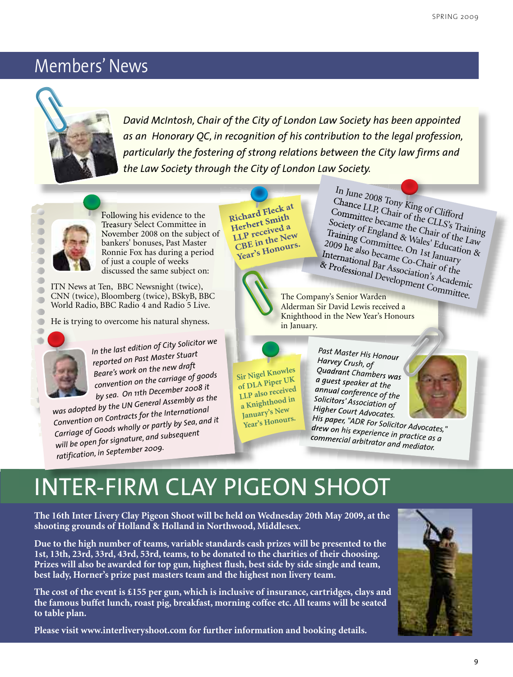### Members' News



*David McIntosh, Chair of the City of London Law Society has been appointed as an Honorary QC, in recognition of his contribution to the legal profession, particularly the fostering of strong relations between the City law firms and the Law Society through the City of London Law Society.*



Following his evidence to the Treasury Select Committee in November 2008 on the subject of bankers' bonuses, Past Master Ronnie Fox has during a period of just a couple of weeks discussed the same subject on:

ITN News at Ten, BBC Newsnight (twice), CNN (twice), Bloomberg (twice), BSkyB, BBC World Radio, BBC Radio 4 and Radio 5 Live.

He is trying to overcome his natural shyness.



 $\blacksquare$ œ

 $\blacksquare$ 

*In the last edition of City Solicitor we reported on Past Master Stuart Beare's work on the new draft convention on the carriage of goods by sea. On 11th December <sup>2008</sup> it*

*was adopted by the UN Genera<sup>l</sup> Assembly as the Convention on Contracts for the International Carriage of Goods wholly or partly by Sea, and it will be open for signature, and subsequen<sup>t</sup> ratification, in September 2009.*

**Richard Fleck at Herbert Smith LLP received <sup>a</sup> CBE in the New Year's Honours.**



Committee became the Chair of the Law Society of England & Wales' Education & Training Committee. On 1st January 2009 he also became Co-Chair of the International Bar Association's Academic *Andrewman Development Committee.* The Company's Senior Warden Alderman Sir David Lewis received a

In June <sup>2008</sup> Tony King of Clifford

Chance LLP, Chair of the CLLS's Training

Knighthood in the New Year's Honours in January.

**Sir Nigel Knowles of DLA Piper UK LLP also received <sup>a</sup> Knighthood in January's New**

**Year's Honours.**

*Past Master His Honour Harvey Crush, of Quadrant Chambers was <sup>a</sup> guest speaker at the annual conference of the H igher Court Advocates. Solicitors' Association of H*



*d is paper, "ADR For Solicitor Advocates," r ew o n h is a*<br> *commercial arhitrator* and *l arbitrator and mediator.*

## INTER-FIRM CLAY PIGEON SHOOT

**The 16th Inter Livery Clay Pigeon Shoot will be held on Wednesday 20th May 2009, at the shooting grounds of Holland & Holland in Northwood, Middlesex.**

**Due to the high number of teams, variable standards cash prizes will be presented to the 1st, 13th, 23rd, 33rd, 43rd, 53rd, teams, to be donated to the charities of their choosing. Prizes will also be awarded for top gun, highest flush, best side by side single and team, best lady, Horner's prize past masters team and the highest non livery team.**

**The cost of the event is £155 per gun, which is inclusive of insurance, cartridges, clays and the famous buffet lunch,roast pig, breakfast, morning coffee etc. All teams will be seated to table plan.**

**Please visit www.interliveryshoot.com for further information and booking details.**

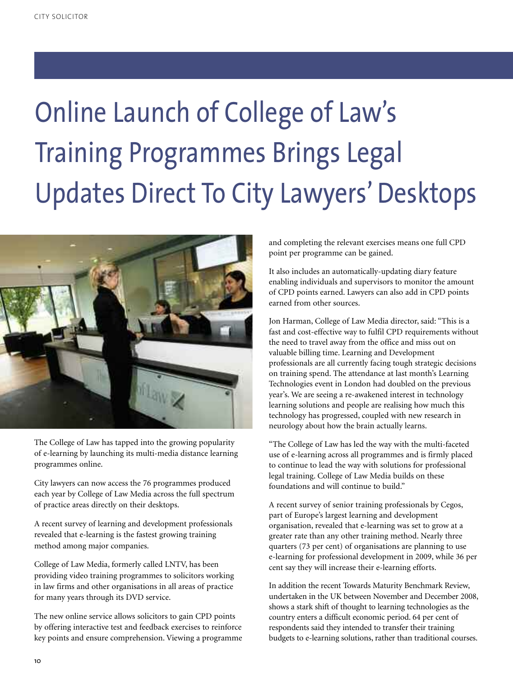# Online Launch of College of Law's Training Programmes Brings Legal Updates Direct To City Lawyers' Desktops



The College of Law has tapped into the growing popularity of e-learning by launching its multi-media distance learning programmes online.

City lawyers can now access the 76 programmes produced each year by College of Law Media across the full spectrum of practice areas directly on their desktops.

A recent survey of learning and development professionals revealed that e-learning is the fastest growing training method among major companies.

College of Law Media, formerly called LNTV, has been providing video training programmes to solicitors working in law firms and other organisations in all areas of practice for many years through its DVD service.

The new online service allows solicitors to gain CPD points by offering interactive test and feedback exercises to reinforce key points and ensure comprehension. Viewing a programme and completing the relevant exercises means one full CPD point per programme can be gained.

It also includes an automatically-updating diary feature enabling individuals and supervisors to monitor the amount of CPD points earned. Lawyers can also add in CPD points earned from other sources.

Jon Harman, College of Law Media director, said: "This is a fast and cost-effective way to fulfil CPD requirements without the need to travel away from the office and miss out on valuable billing time. Learning and Development professionals are all currently facing tough strategic decisions on training spend. The attendance at last month's Learning Technologies event in London had doubled on the previous year's. We are seeing a re-awakened interest in technology learning solutions and people are realising how much this technology has progressed, coupled with new research in neurology about how the brain actually learns.

"The College of Law has led the way with the multi-faceted use of e-learning across all programmes and is firmly placed to continue to lead the way with solutions for professional legal training. College of Law Media builds on these foundations and will continue to build."

A recent survey of senior training professionals by Cegos, part of Europe's largest learning and development organisation, revealed that e-learning was set to grow at a greater rate than any other training method. Nearly three quarters (73 per cent) of organisations are planning to use e-learning for professional development in 2009, while 36 per cent say they will increase their e-learning efforts.

In addition the recent Towards Maturity Benchmark Review, undertaken in the UK between November and December 2008, shows a stark shift of thought to learning technologies as the country enters a difficult economic period. 64 per cent of respondents said they intended to transfer their training budgets to e-learning solutions, rather than traditional courses.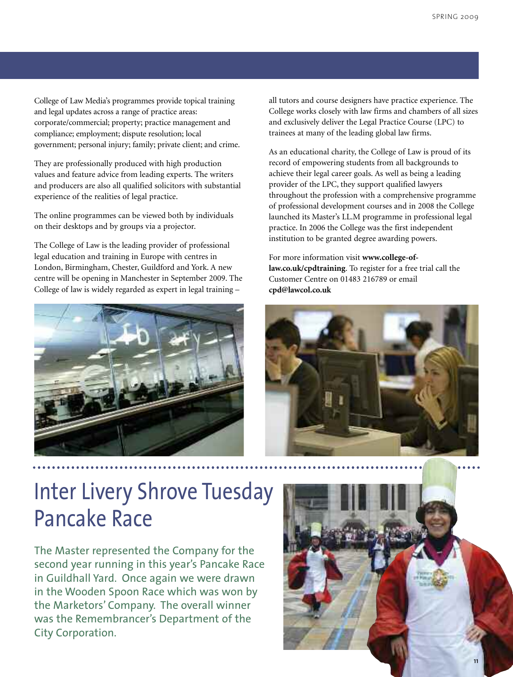College of Law Media's programmes provide topical training and legal updates across a range of practice areas: corporate/commercial; property; practice management and compliance; employment; dispute resolution; local government; personal injury; family; private client; and crime.

They are professionally produced with high production values and feature advice from leading experts. The writers and producers are also all qualified solicitors with substantial experience of the realities of legal practice.

The online programmes can be viewed both by individuals on their desktops and by groups via a projector.

The College of Law is the leading provider of professional legal education and training in Europe with centres in London, Birmingham, Chester, Guildford and York. A new centre will be opening in Manchester in September 2009. The College of law is widely regarded as expert in legal training –



all tutors and course designers have practice experience. The College works closely with law firms and chambers of all sizes and exclusively deliver the Legal Practice Course (LPC) to trainees at many of the leading global law firms.

As an educational charity, the College of Law is proud of its record of empowering students from all backgrounds to achieve their legal career goals. As well as being a leading provider of the LPC, they support qualified lawyers throughout the profession with a comprehensive programme of professional development courses and in 2008 the College launched its Master's LL.M programme in professional legal practice. In 2006 the College was the first independent institution to be granted degree awarding powers.

For more information visit **www.college-oflaw.co.uk/cpdtraining**. To register for a free trial call the Customer Centre on 01483 216789 or email **cpd@lawcol.co.uk**



## Inter Livery Shrove Tuesday Pancake Race

The Master represented the Company for the second year running in this year's Pancake Race in Guildhall Yard. Once again we were drawn in the Wooden Spoon Race which was won by the Marketors' Company. The overall winner was the Remembrancer's Department of the City Corporation.

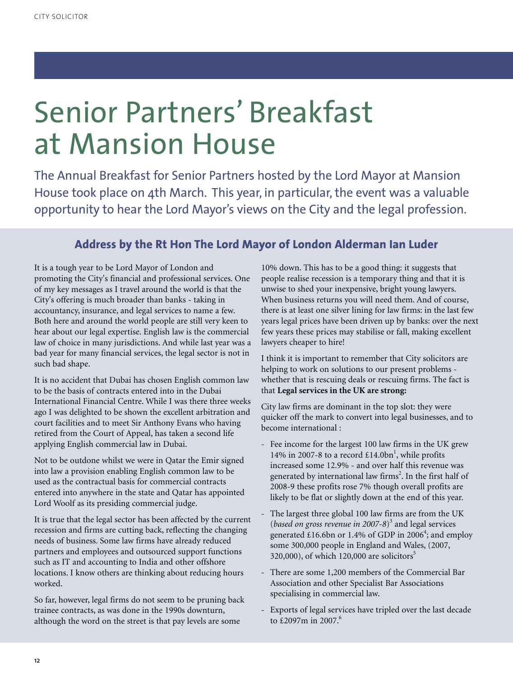## Senior Partners' Breakfast at Mansion House

The Annual Breakfast for Senior Partners hosted by the Lord Mayor at Mansion House took place on 4th March. This year, in particular, the event was a valuable opportunity to hear the Lord Mayor's views on the City and the legal profession.

### **Address by the Rt Hon The Lord Mayor of London Alderman Ian Luder**

It is a tough year to be Lord Mayor of London and promoting the City's financial and professional services. One of my key messages as I travel around the world is that the City's offering is much broader than banks - taking in accountancy, insurance, and legal services to name a few. Both here and around the world people are still very keen to hear about our legal expertise. English law is the commercial law of choice in many jurisdictions. And while last year was a bad year for many financial services, the legal sector is not in such bad shape.

It is no accident that Dubai has chosen English common law to be the basis of contracts entered into in the Dubai International Financial Centre. While I was there three weeks ago I was delighted to be shown the excellent arbitration and court facilities and to meet Sir Anthony Evans who having retired from the Court of Appeal, has taken a second life applying English commercial law in Dubai.

Not to be outdone whilst we were in Qatar the Emir signed into law a provision enabling English common law to be used as the contractual basis for commercial contracts entered into anywhere in the state and Qatar has appointed Lord Woolf as its presiding commercial judge.

It is true that the legal sector has been affected by the current recession and firms are cutting back, reflecting the changing needs of business. Some law firms have already reduced partners and employees and outsourced support functions such as IT and accounting to India and other offshore locations. I know others are thinking about reducing hours worked.

So far, however, legal firms do not seem to be pruning back trainee contracts, as was done in the 1990s downturn, although the word on the street is that pay levels are some

10% down. This has to be a good thing: it suggests that people realise recession is a temporary thing and that it is unwise to shed your inexpensive, bright young lawyers. When business returns you will need them. And of course, there is at least one silver lining for law firms: in the last few years legal prices have been driven up by banks: over the next few years these prices may stabilise or fall, making excellent lawyers cheaper to hire!

I think it is important to remember that City solicitors are helping to work on solutions to our present problems whether that is rescuing deals or rescuing firms. The fact is that **Legal services in the UK are strong:**

City law firms are dominant in the top slot: they were quicker off the mark to convert into legal businesses, and to become international :

- Fee income for the largest 100 law firms in the UK grew 14% in 2007-8 to a record  $£14.0bn<sup>1</sup>$ , while profits increased some 12.9% - and over half this revenue was generated by international law firms 2 . In the first half of 2008-9 these profits rose 7% though overall profits are likely to be flat or slightly down at the end of this year.
- The largest three global 100 law firms are from the UK (*based on gross revenue in 2007-8*) <sup>3</sup> and legal services generated £16.6bn or 1.4% of GDP in 2006<sup>4</sup>; and employ some 300,000 people in England and Wales, (2007, 320,000), of which 120,000 are solicitors 5
- There are some 1,200 members of the Commercial Bar Association and other Specialist Bar Associations specialising in commercial law.
- Exports of legal services have tripled over the last decade to £2097m in 2007. 6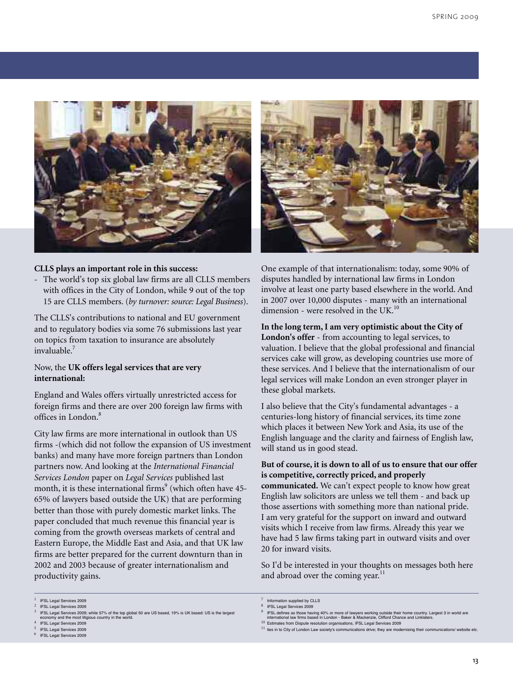

#### **CLLS plays an important role in this success:**

- The world's top six global law firms are all CLLS members with offices in the City of London, while 9 out of the top 15 are CLLS members. (*by turnover: source: Legal Business*).

The CLLS's contributions to national and EU government and to regulatory bodies via some 76 submissions last year on topics from taxation to insurance are absolutely invaluable. 7

#### Now, the **UK offers legal services that are very international:**

England and Wales offers virtually unrestricted access for foreign firms and there are over 200 foreign law firms with offices in London. 8

City law firms are more international in outlook than US firms -(which did not follow the expansion of US investment banks) and many have more foreign partners than London partners now. And looking at the *International Financial Services London* paper on *Legal Services* published last month, it is these international firms <sup>9</sup> (which often have 45- 65% of lawyers based outside the UK) that are performing better than those with purely domestic market links. The paper concluded that much revenue this financial year is coming from the growth overseas markets of central and Eastern Europe, the Middle East and Asia, and that UK law firms are better prepared for the current downturn than in 2002 and 2003 because of greater internationalism and productivity gains.



One example of that internationalism: today, some 90% of disputes handled by international law firms in London involve at least one party based elsewhere in the world. And in 2007 over 10,000 disputes - many with an international dimension - were resolved in the UK.<sup>10</sup>

**In the long term, I am very optimistic about the City of London's offer** - from accounting to legal services, to valuation. I believe that the global professional and financial services cake will grow, as developing countries use more of these services. And I believe that the internationalism of our legal services will make London an even stronger player in these global markets.

I also believe that the City's fundamental advantages - a centuries-long history of financial services, its time zone which places it between New York and Asia, its use of the English language and the clarity and fairness of English law, will stand us in good stead.

#### **But of course, it is down to all of us to ensure that our offer is competitive, correctly priced, and properly**

**communicated.** We can't expect people to know how great English law solicitors are unless we tell them - and back up those assertions with something more than national pride. I am very grateful for the support on inward and outward visits which I receive from law firms. Already this year we have had 5 law firms taking part in outward visits and over 20 for inward visits.

So I'd be interested in your thoughts on messages both here and abroad over the coming year. $^{11}$ 

- <sup>5</sup> IFSL Legal Services <sup>2009</sup>
- **IFSL Legal Services 2009**

<sup>8</sup> IFSL Legal Services <sup>2009</sup>

13

**IFSL Legal Services 2009** <sup>2</sup> IFSL Legal Services <sup>2009</sup>

IFSL Legal Services 2009; while 57% of the top global 50 are US based, 19% is UK based: US is the larges example because above, many of the critical conomy and the most litigious country in the

**IFSL Legal Services 2009** 

Information supplied by CLLS

<sup>9</sup> IFSL defines as those having 40% or more of lawyers working outside their home country. Largest <sup>3</sup> in world are international law firms based in London - Baker & Mackenzie, Clifford Chance and Linklaters.

<sup>10</sup> Estimates from Dispute resolution organisations, IFSL Legal Services <sup>2009</sup>

<sup>11</sup> ties in to City of London Law society's communications drive; they are modernising their communications/ website etc.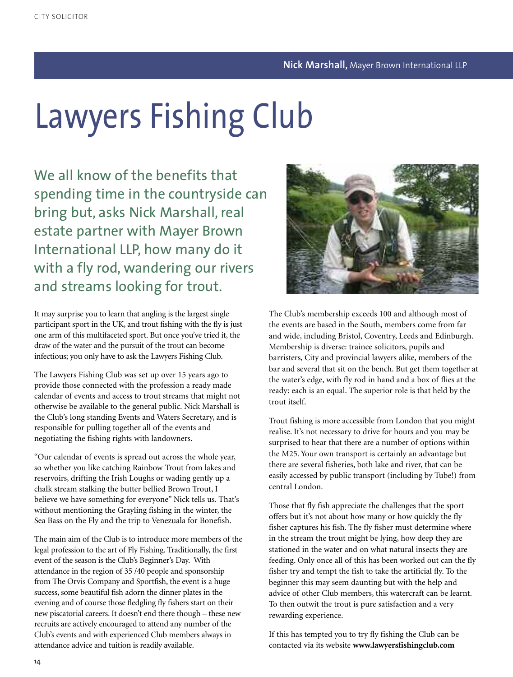# Lawyers Fishing Club

We all know of the benefits that spending time in the countryside can bring but, asks Nick Marshall, real estate partner with Mayer Brown International LLP, how many do it with a fly rod, wandering our rivers and streams looking for trout.

It may surprise you to learn that angling is the largest single participant sport in the UK, and trout fishing with the fly is just one arm of this multifaceted sport. But once you've tried it, the draw of the water and the pursuit of the trout can become infectious; you only have to ask the Lawyers Fishing Club.

The Lawyers Fishing Club was set up over 15 years ago to provide those connected with the profession a ready made calendar of events and access to trout streams that might not otherwise be available to the general public. Nick Marshall is the Club's long standing Events and Waters Secretary, and is responsible for pulling together all of the events and negotiating the fishing rights with landowners.

"Our calendar of events is spread out across the whole year, so whether you like catching Rainbow Trout from lakes and reservoirs, drifting the Irish Loughs or wading gently up a chalk stream stalking the butter bellied Brown Trout, I believe we have something for everyone" Nick tells us. That's without mentioning the Grayling fishing in the winter, the Sea Bass on the Fly and the trip to Venezuala for Bonefish.

The main aim of the Club is to introduce more members of the legal profession to the art of Fly Fishing. Traditionally, the first event of the season is the Club's Beginner's Day. With attendance in the region of 35 /40 people and sponsorship from The Orvis Company and Sportfish, the event is a huge success, some beautiful fish adorn the dinner plates in the evening and of course those fledgling fly fishers start on their new piscatorial careers. It doesn't end there though – these new recruits are actively encouraged to attend any number of the Club's events and with experienced Club members always in attendance advice and tuition is readily available.



The Club's membership exceeds 100 and although most of the events are based in the South, members come from far and wide, including Bristol, Coventry, Leeds and Edinburgh. Membership is diverse: trainee solicitors, pupils and barristers, City and provincial lawyers alike, members of the bar and several that sit on the bench. But get them together at the water's edge, with fly rod in hand and a box of flies at the ready: each is an equal. The superior role is that held by the trout itself.

Trout fishing is more accessible from London that you might realise. It's not necessary to drive for hours and you may be surprised to hear that there are a number of options within the M25. Your own transport is certainly an advantage but there are several fisheries, both lake and river, that can be easily accessed by public transport (including by Tube!) from central London.

Those that fly fish appreciate the challenges that the sport offers but it's not about how many or how quickly the fly fisher captures his fish. The fly fisher must determine where in the stream the trout might be lying, how deep they are stationed in the water and on what natural insects they are feeding. Only once all of this has been worked out can the fly fisher try and tempt the fish to take the artificial fly. To the beginner this may seem daunting but with the help and advice of other Club members, this watercraft can be learnt. To then outwit the trout is pure satisfaction and a very rewarding experience.

If this has tempted you to try fly fishing the Club can be contacted via its website **www.lawyersfishingclub.com**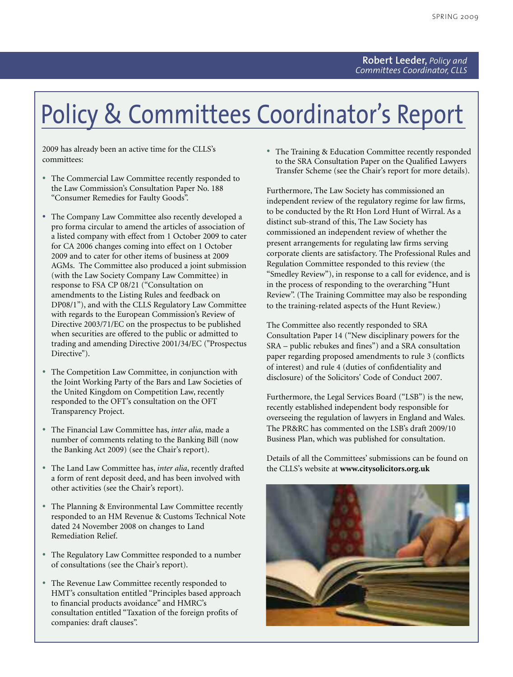## Policy & Committees Coordinator's Report

2009 has already been an active time for the CLLS's committees:

- The Commercial Law Committee recently responded to the Law Commission's Consultation Paper No. 188 "Consumer Remedies for Faulty Goods".
- The Company Law Committee also recently developed <sup>a</sup> pro forma circular to amend the articles of association of a listed company with effect from 1 October 2009 to cater for CA 2006 changes coming into effect on 1 October 2009 and to cater for other items of business at 2009 AGMs. The Committee also produced a joint submission (with the Law Society Company Law Committee) in response to FSA CP 08/21 ("Consultation on amendments to the Listing Rules and feedback on DP08/1"), and with the CLLS Regulatory Law Committee with regards to the European Commission's Review of Directive 2003/71/EC on the prospectus to be published when securities are offered to the public or admitted to trading and amending Directive 2001/34/EC ("Prospectus Directive").
- The Competition Law Committee, in conjunction with the Joint Working Party of the Bars and Law Societies of the United Kingdom on Competition Law, recently responded to the OFT's consultation on the OFT Transparency Project.
- The Financial Law Committee has, *inter alia*, made <sup>a</sup> number of comments relating to the Banking Bill (now the Banking Act 2009) (see the Chair's report).
- The Land Law Committee has, *inter alia*, recently drafted a form of rent deposit deed, and has been involved with other activities (see the Chair's report).
- The Planning & Environmental Law Committee recently responded to an HM Revenue & Customs Technical Note dated 24 November 2008 on changes to Land Remediation Relief.
- The Regulatory Law Committee responded to <sup>a</sup> number of consultations (see the Chair's report).
- The Revenue Law Committee recently responded to HMT's consultation entitled "Principles based approach to financial products avoidance" and HMRC's consultation entitled "Taxation of the foreign profits of companies: draft clauses".

• The Training & Education Committee recently responded to the SRA Consultation Paper on the Qualified Lawyers Transfer Scheme (see the Chair's report for more details).

Furthermore, The Law Society has commissioned an independent review of the regulatory regime for law firms, to be conducted by the Rt Hon Lord Hunt of Wirral. As a distinct sub-strand of this, The Law Society has commissioned an independent review of whether the present arrangements for regulating law firms serving corporate clients are satisfactory. The Professional Rules and Regulation Committee responded to this review (the "Smedley Review"), in response to a call for evidence, and is in the process of responding to the overarching "Hunt Review". (The Training Committee may also be responding to the training-related aspects of the Hunt Review.)

The Committee also recently responded to SRA Consultation Paper 14 ("New disciplinary powers for the SRA – public rebukes and fines") and a SRA consultation paper regarding proposed amendments to rule 3 (conflicts of interest) and rule 4 (duties of confidentiality and disclosure) of the Solicitors' Code of Conduct 2007.

Furthermore, the Legal Services Board ("LSB") is the new, recently established independent body responsible for overseeing the regulation of lawyers in England and Wales. The PR&RC has commented on the LSB's draft 2009/10 Business Plan, which was published for consultation.

Details of all the Committees' submissions can be found on the CLLS's website at **www.citysolicitors.org.uk**

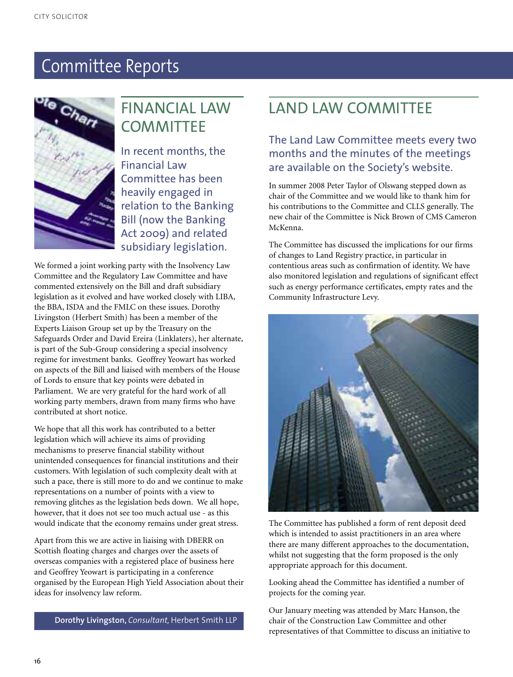

### FINANCIAL LAW **COMMITTEE**

In recent months, the Financial Law Committee has been heavily engaged in relation to the Banking Bill (now the Banking Act 2009) and related subsidiary legislation.

We formed a joint working party with the Insolvency Law Committee and the Regulatory Law Committee and have commented extensively on the Bill and draft subsidiary legislation as it evolved and have worked closely with LIBA, the BBA, ISDA and the FMLC on these issues. Dorothy Livingston (Herbert Smith) has been a member of the Experts Liaison Group set up by the Treasury on the Safeguards Order and David Ereira (Linklaters), her alternate, is part of the Sub-Group considering a special insolvency regime for investment banks. Geoffrey Yeowart has worked on aspects of the Bill and liaised with members of the House of Lords to ensure that key points were debated in Parliament. We are very grateful for the hard work of all working party members, drawn from many firms who have contributed at short notice.

We hope that all this work has contributed to a better legislation which will achieve its aims of providing mechanisms to preserve financial stability without unintended consequences for financial institutions and their customers. With legislation of such complexity dealt with at such a pace, there is still more to do and we continue to make representations on a number of points with a view to removing glitches as the legislation beds down. We all hope, however, that it does not see too much actual use - as this would indicate that the economy remains under great stress.

Apart from this we are active in liaising with DBERR on Scottish floating charges and charges over the assets of overseas companies with a registered place of business here and Geoffrey Yeowart is participating in a conference organised by the European High Yield Association about their ideas for insolvency law reform.

**Dorothy Livingston,** *Consultant,* Herbert Smith LLP

### LAND LAW COMMITTEE

### The Land Law Committee meets every two months and the minutes of the meetings are available on the Society's website.

In summer 2008 Peter Taylor of Olswang stepped down as chair of the Committee and we would like to thank him for his contributions to the Committee and CLLS generally. The new chair of the Committee is Nick Brown of CMS Cameron McKenna.

The Committee has discussed the implications for our firms of changes to Land Registry practice, in particular in contentious areas such as confirmation of identity. We have also monitored legislation and regulations of significant effect such as energy performance certificates, empty rates and the Community Infrastructure Levy.



The Committee has published a form of rent deposit deed which is intended to assist practitioners in an area where there are many different approaches to the documentation, whilst not suggesting that the form proposed is the only appropriate approach for this document.

Looking ahead the Committee has identified a number of projects for the coming year.

Our January meeting was attended by Marc Hanson, the chair of the Construction Law Committee and other representatives of that Committee to discuss an initiative to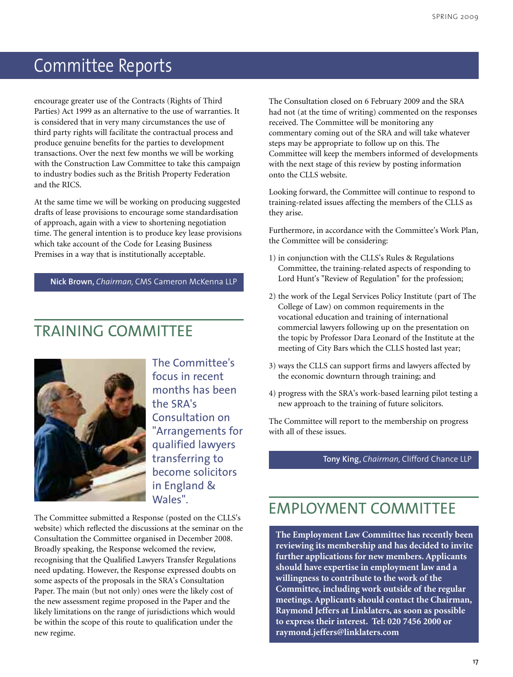encourage greater use of the Contracts (Rights of Third Parties) Act 1999 as an alternative to the use of warranties. It is considered that in very many circumstances the use of third party rights will facilitate the contractual process and produce genuine benefits for the parties to development transactions. Over the next few months we will be working with the Construction Law Committee to take this campaign to industry bodies such as the British Property Federation and the RICS.

At the same time we will be working on producing suggested drafts of lease provisions to encourage some standardisation of approach, again with a view to shortening negotiation time. The general intention is to produce key lease provisions which take account of the Code for Leasing Business Premises in a way that is institutionally acceptable.

#### **Nick Brown,** *Chairman,* CMS Cameron McKenna LLP

### TRAINING COMMITTEE



The Committee's focus in recent months has been the SRA's Consultation on "Arrangements for qualified lawyers transferring to become solicitors in England & Wales".

The Committee submitted a Response (posted on the CLLS's website) which reflected the discussions at the seminar on the Consultation the Committee organised in December 2008. Broadly speaking, the Response welcomed the review, recognising that the Qualified Lawyers Transfer Regulations need updating. However, the Response expressed doubts on some aspects of the proposals in the SRA's Consultation Paper. The main (but not only) ones were the likely cost of the new assessment regime proposed in the Paper and the likely limitations on the range of jurisdictions which would be within the scope of this route to qualification under the new regime.

The Consultation closed on 6 February 2009 and the SRA had not (at the time of writing) commented on the responses received. The Committee will be monitoring any commentary coming out of the SRA and will take whatever steps may be appropriate to follow up on this. The Committee will keep the members informed of developments with the next stage of this review by posting information onto the CLLS website.

Looking forward, the Committee will continue to respond to training-related issues affecting the members of the CLLS as they arise.

Furthermore, in accordance with the Committee's Work Plan, the Committee will be considering:

- 1) in conjunction with the CLLS's Rules & Regulations Committee, the training-related aspects of responding to Lord Hunt's "Review of Regulation" for the profession;
- 2) the work of the Legal Services Policy Institute (part of The College of Law) on common requirements in the vocational education and training of international commercial lawyers following up on the presentation on the topic by Professor Dara Leonard of the Institute at the meeting of City Bars which the CLLS hosted last year;
- 3) ways the CLLS can support firms and lawyers affected by the economic downturn through training; and
- 4) progress with the SRA's work-based learning pilot testing a new approach to the training of future solicitors.

The Committee will report to the membership on progress with all of these issues.

**Tony King,** *Chairman,* Clifford Chance LLP

### EMPLOYMENT COMMITTEE

**The Employment Law Committee has recently been reviewing its membership and has decided to invite further applications for new members. Applicants should have expertise in employment law and a willingness to contribute to the work of the Committee, including work outside of the regular meetings. Applicants should contact the Chairman, Raymond Jeffers at Linklaters, as soon as possible to express their interest. Tel: 020 7456 2000 or raymond.jeffers@linklaters.com**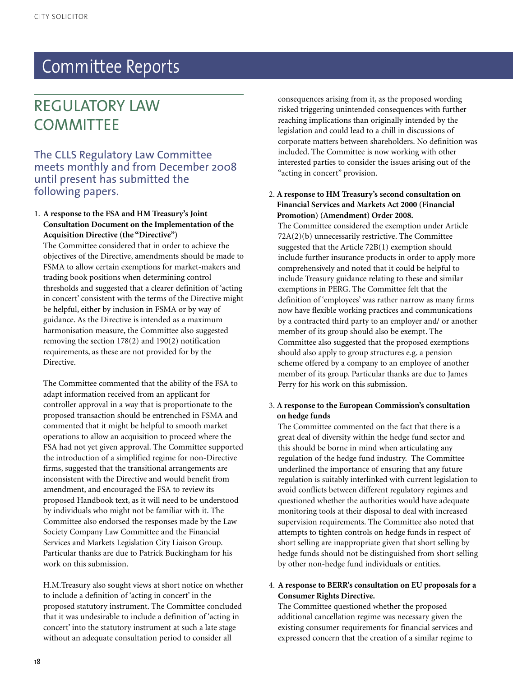### REGULATORY LAW **COMMITTEE**

The CLLS Regulatory Law Committee meets monthly and from December 2008 until present has submitted the following papers.

#### 1. **A response to the FSA and HM Treasury's Joint Consultation Document on the Implementation of the Acquisition Directive (the "Directive")**

The Committee considered that in order to achieve the objectives of the Directive, amendments should be made to FSMA to allow certain exemptions for market-makers and trading book positions when determining control thresholds and suggested that a clearer definition of 'acting in concert' consistent with the terms of the Directive might be helpful, either by inclusion in FSMA or by way of guidance. As the Directive is intended as a maximum harmonisation measure, the Committee also suggested removing the section 178(2) and 190(2) notification requirements, as these are not provided for by the Directive.

The Committee commented that the ability of the FSA to adapt information received from an applicant for controller approval in a way that is proportionate to the proposed transaction should be entrenched in FSMA and commented that it might be helpful to smooth market operations to allow an acquisition to proceed where the FSA had not yet given approval. The Committee supported the introduction of a simplified regime for non-Directive firms, suggested that the transitional arrangements are inconsistent with the Directive and would benefit from amendment, and encouraged the FSA to review its proposed Handbook text, as it will need to be understood by individuals who might not be familiar with it. The Committee also endorsed the responses made by the Law Society Company Law Committee and the Financial Services and Markets Legislation City Liaison Group. Particular thanks are due to Patrick Buckingham for his work on this submission.

H.M.Treasury also sought views at short notice on whether to include a definition of 'acting in concert' in the proposed statutory instrument. The Committee concluded that it was undesirable to include a definition of 'acting in concert' into the statutory instrument at such a late stage without an adequate consultation period to consider all

consequences arising from it, as the proposed wording risked triggering unintended consequences with further reaching implications than originally intended by the legislation and could lead to a chill in discussions of corporate matters between shareholders. No definition was included. The Committee is now working with other interested parties to consider the issues arising out of the "acting in concert" provision.

#### 2. **A response to HM Treasury's second consultation on Financial Services and Markets Act 2000 (Financial Promotion) (Amendment) Order 2008.**

The Committee considered the exemption under Article 72A(2)(b) unnecessarily restrictive. The Committee suggested that the Article 72B(1) exemption should include further insurance products in order to apply more comprehensively and noted that it could be helpful to include Treasury guidance relating to these and similar exemptions in PERG. The Committee felt that the definition of 'employees' was rather narrow as many firms now have flexible working practices and communications by a contracted third party to an employer and/ or another member of its group should also be exempt. The Committee also suggested that the proposed exemptions should also apply to group structures e.g. a pension scheme offered by a company to an employee of another member of its group. Particular thanks are due to James Perry for his work on this submission.

#### 3. **A response to the European Commission's consultation on hedge funds**

The Committee commented on the fact that there is a great deal of diversity within the hedge fund sector and this should be borne in mind when articulating any regulation of the hedge fund industry. The Committee underlined the importance of ensuring that any future regulation is suitably interlinked with current legislation to avoid conflicts between different regulatory regimes and questioned whether the authorities would have adequate monitoring tools at their disposal to deal with increased supervision requirements. The Committee also noted that attempts to tighten controls on hedge funds in respect of short selling are inappropriate given that short selling by hedge funds should not be distinguished from short selling by other non-hedge fund individuals or entities.

#### 4. **A response to BERR's consultation on EU proposals for a Consumer Rights Directive.**

The Committee questioned whether the proposed additional cancellation regime was necessary given the existing consumer requirements for financial services and expressed concern that the creation of a similar regime to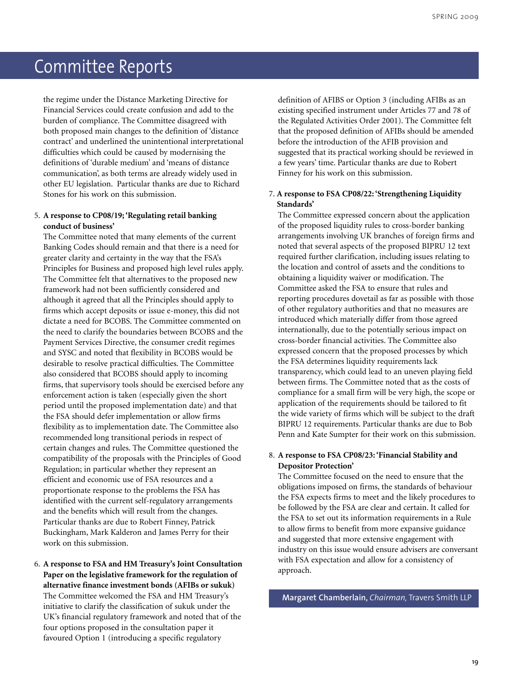the regime under the Distance Marketing Directive for Financial Services could create confusion and add to the burden of compliance. The Committee disagreed with both proposed main changes to the definition of 'distance contract' and underlined the unintentional interpretational difficulties which could be caused by modernising the definitions of 'durable medium' and 'means of distance communication', as both terms are already widely used in other EU legislation. Particular thanks are due to Richard Stones for his work on this submission.

#### 5. **A response to CP08/19; 'Regulating retail banking conduct of business'**

The Committee noted that many elements of the current Banking Codes should remain and that there is a need for greater clarity and certainty in the way that the FSA's Principles for Business and proposed high level rules apply. The Committee felt that alternatives to the proposed new framework had not been sufficiently considered and although it agreed that all the Principles should apply to firms which accept deposits or issue e-money, this did not dictate a need for BCOBS. The Committee commented on the need to clarify the boundaries between BCOBS and the Payment Services Directive, the consumer credit regimes and SYSC and noted that flexibility in BCOBS would be desirable to resolve practical difficulties. The Committee also considered that BCOBS should apply to incoming firms, that supervisory tools should be exercised before any enforcement action is taken (especially given the short period until the proposed implementation date) and that the FSA should defer implementation or allow firms flexibility as to implementation date. The Committee also recommended long transitional periods in respect of certain changes and rules. The Committee questioned the compatibility of the proposals with the Principles of Good Regulation; in particular whether they represent an efficient and economic use of FSA resources and a proportionate response to the problems the FSA has identified with the current self-regulatory arrangements and the benefits which will result from the changes. Particular thanks are due to Robert Finney, Patrick Buckingham, Mark Kalderon and James Perry for their work on this submission.

#### 6. **A response to FSA and HM Treasury's Joint Consultation Paper on the legislative framework for the regulation of alternative finance investment bonds (AFIBs or sukuk)** The Committee welcomed the FSA and HM Treasury's initiative to clarify the classification of sukuk under the UK's financial regulatory framework and noted that of the four options proposed in the consultation paper it favoured Option 1 (introducing a specific regulatory

definition of AFIBS or Option 3 (including AFIBs as an existing specified instrument under Articles 77 and 78 of the Regulated Activities Order 2001). The Committee felt that the proposed definition of AFIBs should be amended before the introduction of the AFIB provision and suggested that its practical working should be reviewed in a few years' time. Particular thanks are due to Robert Finney for his work on this submission.

#### 7. **A response to FSA CP08/22: 'Strengthening Liquidity Standards'**

The Committee expressed concern about the application of the proposed liquidity rules to cross-border banking arrangements involving UK branches of foreign firms and noted that several aspects of the proposed BIPRU 12 text required further clarification, including issues relating to the location and control of assets and the conditions to obtaining a liquidity waiver or modification. The Committee asked the FSA to ensure that rules and reporting procedures dovetail as far as possible with those of other regulatory authorities and that no measures are introduced which materially differ from those agreed internationally, due to the potentially serious impact on cross-border financial activities. The Committee also expressed concern that the proposed processes by which the FSA determines liquidity requirements lack transparency, which could lead to an uneven playing field between firms. The Committee noted that as the costs of compliance for a small firm will be very high, the scope or application of the requirements should be tailored to fit the wide variety of firms which will be subject to the draft BIPRU 12 requirements. Particular thanks are due to Bob Penn and Kate Sumpter for their work on this submission.

#### 8. **A response to FSA CP08/23: 'Financial Stability and Depositor Protection'**

The Committee focused on the need to ensure that the obligations imposed on firms, the standards of behaviour the FSA expects firms to meet and the likely procedures to be followed by the FSA are clear and certain. It called for the FSA to set out its information requirements in a Rule to allow firms to benefit from more expansive guidance and suggested that more extensive engagement with industry on this issue would ensure advisers are conversant with FSA expectation and allow for a consistency of approach.

**Margaret Chamberlain,** *Chairman,* Travers Smith LLP